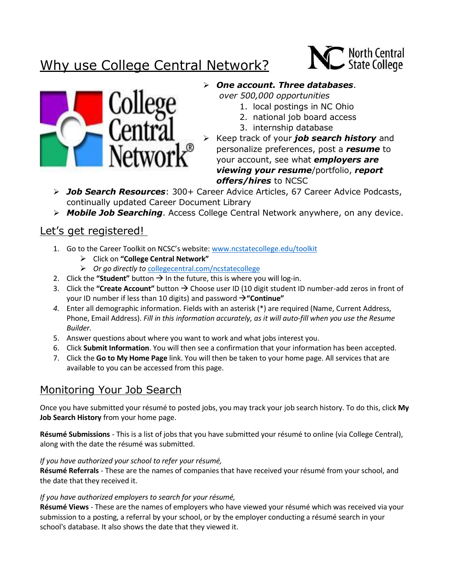# Why use College Central Network?





### ➢ *One account. Three databases*.

*over 500,000 opportunities*

- 1. local postings in NC Ohio
- 2. national job board access
- 3. internship database
- ➢ Keep track of your *job search history* and personalize preferences, post a *resume* to your account, see what *employers are viewing your resume*/portfolio, *report offers/hires* to NCSC
- ➢ *Job Search Resources*: 300+ Career Advice Articles, 67 Career Advice Podcasts, continually updated Career Document Library
- ➢ *Mobile Job Searching*. Access College Central Network anywhere, on any device.

### Let's get registered!

- 1. Go to the Career Toolkit on NCSC's website: [www.ncstatecollege.edu/toolkit](http://www.ncstatecollege.edu/toolkit)
	- ➢ Click on **"College Central Network"**
	- ➢ *Or go directly to* [collegecentral.com/ncstatecollege](http://www.collegecentral.com/ncstatecollege-osumansfield)
- 2. Click the "**Student**" button  $\rightarrow$  In the future, this is where you will log-in.
- 3. Click the **"Create Account"** button → Choose user ID (10 digit student ID number-add zeros in front of your ID number if less than 10 digits) and password →**"Continue"**
- *4.* Enter all demographic information. Fields with an asterisk (\*) are required (Name, Current Address, Phone, Email Address). *Fill in this information accurately, as it will auto-fill when you use the Resume Builder.*
- 5. Answer questions about where you want to work and what jobs interest you.
- 6. Click **Submit Information**. You will then see a confirmation that your information has been accepted.
- 7. Click the **Go to My Home Page** link. You will then be taken to your home page. All services that are available to you can be accessed from this page.

## Monitoring Your Job Search

Once you have submitted your résumé to posted jobs, you may track your job search history. To do this, click **My Job Search History** from your home page.

**Résumé Submissions** - This is a list of jobs that you have submitted your résumé to online (via College Central), along with the date the résumé was submitted.

#### *If you have authorized your school to refer your résumé,*

**Résumé Referrals** - These are the names of companies that have received your résumé from your school, and the date that they received it.

#### *If you have authorized employers to search for your résumé,*

**Résumé Views** - These are the names of employers who have viewed your résumé which was received via your submission to a posting, a referral by your school, or by the employer conducting a résumé search in your school's database. It also shows the date that they viewed it.